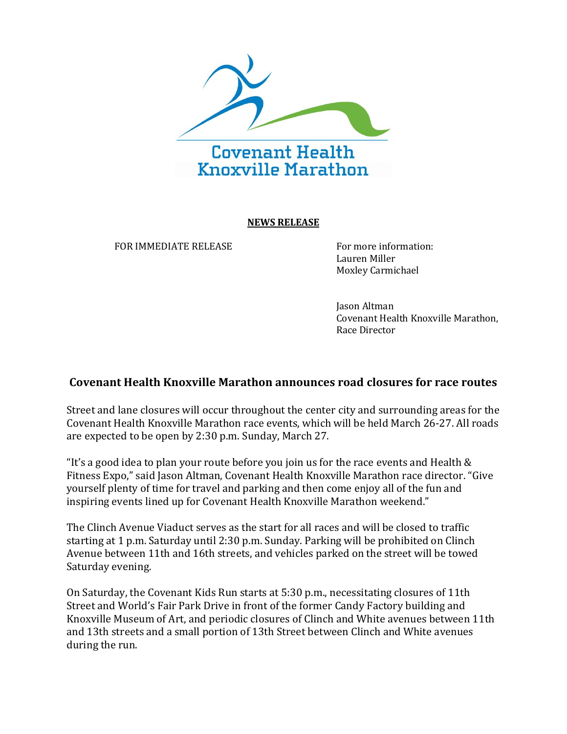

## **NEWS RELEASE**

FOR IMMEDIATE RELEASE FOR INTERFERIENCE FOR IMMEDIATE RELEASE

Lauren Miller Moxley Carmichael

Jason Altman Covenant Health Knoxville Marathon, Race Director

## **Covenant Health Knoxville Marathon announces road closures for race routes**

Street and lane closures will occur throughout the center city and surrounding areas for the Covenant Health Knoxville Marathon race events, which will be held March 26-27. All roads are expected to be open by 2:30 p.m. Sunday, March 27.

"It's a good idea to plan your route before you join us for the race events and Health  $\&$ Fitness Expo," said Jason Altman, Covenant Health Knoxville Marathon race director. "Give yourself plenty of time for travel and parking and then come enjoy all of the fun and inspiring events lined up for Covenant Health Knoxville Marathon weekend."

The Clinch Avenue Viaduct serves as the start for all races and will be closed to traffic starting at 1 p.m. Saturday until 2:30 p.m. Sunday. Parking will be prohibited on Clinch Avenue between 11th and 16th streets, and vehicles parked on the street will be towed Saturday evening.

On Saturday, the Covenant Kids Run starts at 5:30 p.m., necessitating closures of 11th Street and World's Fair Park Drive in front of the former Candy Factory building and Knoxville Museum of Art, and periodic closures of Clinch and White avenues between 11th and 13th streets and a small portion of 13th Street between Clinch and White avenues during the run.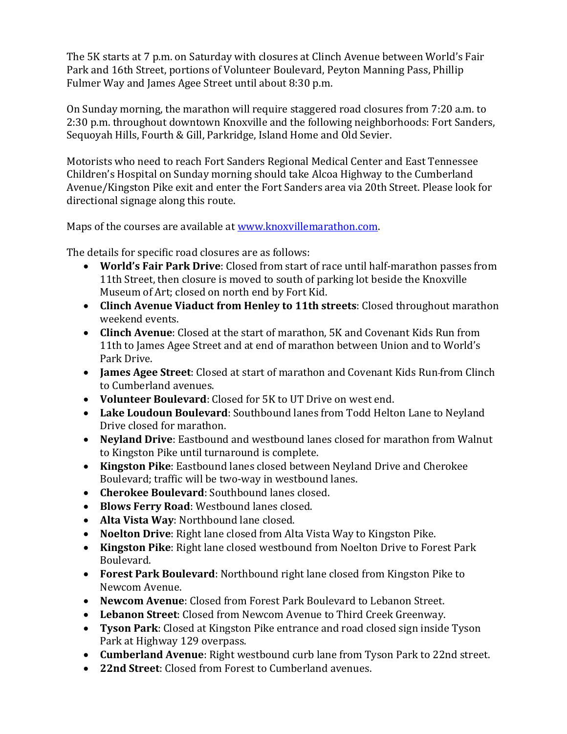The 5K starts at 7 p.m. on Saturday with closures at Clinch Avenue between World's Fair Park and 16th Street, portions of Volunteer Boulevard, Peyton Manning Pass, Phillip Fulmer Way and James Agee Street until about 8:30 p.m.

On Sunday morning, the marathon will require staggered road closures from 7:20 a.m. to 2:30 p.m. throughout downtown Knoxville and the following neighborhoods: Fort Sanders, Sequoyah Hills, Fourth & Gill, Parkridge, Island Home and Old Sevier.

Motorists who need to reach Fort Sanders Regional Medical Center and East Tennessee Children's Hospital on Sunday morning should take Alcoa Highway to the Cumberland Avenue/Kingston Pike exit and enter the Fort Sanders area via 20th Street. Please look for directional signage along this route.

Maps of the courses are available at [www.knoxvillemarathon.com.](http://www.knoxvillemarathon.com/)

The details for specific road closures are as follows:

- **World's Fair Park Drive**: Closed from start of race until half-marathon passes from 11th Street, then closure is moved to south of parking lot beside the Knoxville Museum of Art; closed on north end by Fort Kid.
- **Clinch Avenue Viaduct from Henley to 11th streets**: Closed throughout marathon weekend events.
- **Clinch Avenue**: Closed at the start of marathon, 5K and Covenant Kids Run from 11th to James Agee Street and at end of marathon between Union and to World's Park Drive.
- **James Agee Street**: Closed at start of marathon and Covenant Kids Run from Clinch to Cumberland avenues.
- **Volunteer Boulevard**: Closed for 5K to UT Drive on west end.
- **Lake Loudoun Boulevard**: Southbound lanes from Todd Helton Lane to Neyland Drive closed for marathon.
- **Neyland Drive**: Eastbound and westbound lanes closed for marathon from Walnut to Kingston Pike until turnaround is complete.
- **Kingston Pike**: Eastbound lanes closed between Neyland Drive and Cherokee Boulevard; traffic will be two-way in westbound lanes.
- **Cherokee Boulevard**: Southbound lanes closed.
- **Blows Ferry Road**: Westbound lanes closed.
- **Alta Vista Way**: Northbound lane closed.
- **Noelton Drive**: Right lane closed from Alta Vista Way to Kingston Pike.
- **Kingston Pike**: Right lane closed westbound from Noelton Drive to Forest Park Boulevard.
- **Forest Park Boulevard**: Northbound right lane closed from Kingston Pike to Newcom Avenue.
- **Newcom Avenue**: Closed from Forest Park Boulevard to Lebanon Street.
- **Lebanon Street**: Closed from Newcom Avenue to Third Creek Greenway.
- **Tyson Park**: Closed at Kingston Pike entrance and road closed sign inside Tyson Park at Highway 129 overpass.
- **Cumberland Avenue**: Right westbound curb lane from Tyson Park to 22nd street.
- **22nd Street**: Closed from Forest to Cumberland avenues.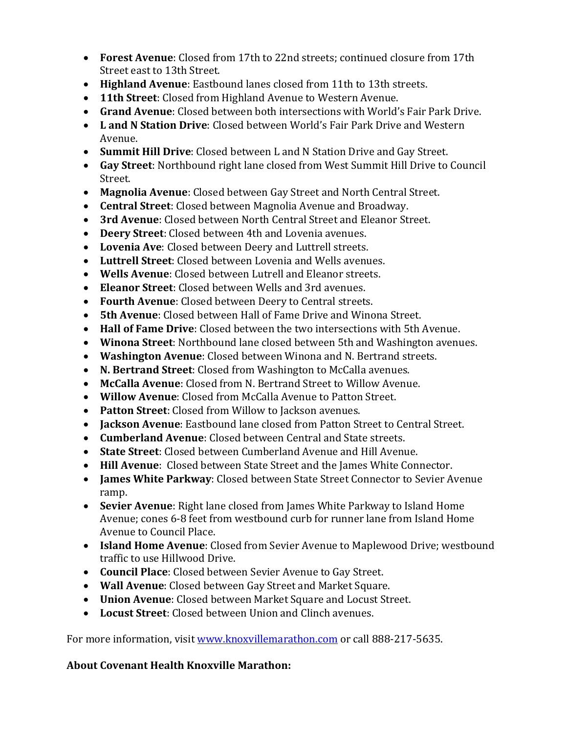- **Forest Avenue**: Closed from 17th to 22nd streets; continued closure from 17th Street east to 13th Street.
- **Highland Avenue**: Eastbound lanes closed from 11th to 13th streets.
- **11th Street**: Closed from Highland Avenue to Western Avenue.
- **Grand Avenue**: Closed between both intersections with World's Fair Park Drive.
- **L and N Station Drive**: Closed between World's Fair Park Drive and Western Avenue.
- **Summit Hill Drive**: Closed between L and N Station Drive and Gay Street.
- **Gay Street**: Northbound right lane closed from West Summit Hill Drive to Council Street.
- **Magnolia Avenue**: Closed between Gay Street and North Central Street.
- **Central Street**: Closed between Magnolia Avenue and Broadway.
- **3rd Avenue**: Closed between North Central Street and Eleanor Street.
- **Deery Street**: Closed between 4th and Lovenia avenues.
- **Lovenia Ave**: Closed between Deery and Luttrell streets.
- **Luttrell Street**: Closed between Lovenia and Wells avenues.
- **Wells Avenue**: Closed between Lutrell and Eleanor streets.
- **Eleanor Street**: Closed between Wells and 3rd avenues.
- **Fourth Avenue**: Closed between Deery to Central streets.
- **5th Avenue**: Closed between Hall of Fame Drive and Winona Street.
- **Hall of Fame Drive**: Closed between the two intersections with 5th Avenue.
- **Winona Street**: Northbound lane closed between 5th and Washington avenues.
- **Washington Avenue**: Closed between Winona and N. Bertrand streets.
- **N. Bertrand Street**: Closed from Washington to McCalla avenues.
- **McCalla Avenue**: Closed from N. Bertrand Street to Willow Avenue.
- **Willow Avenue**: Closed from McCalla Avenue to Patton Street.
- **Patton Street**: Closed from Willow to Jackson avenues.
- **Jackson Avenue**: Eastbound lane closed from Patton Street to Central Street.
- **Cumberland Avenue**: Closed between Central and State streets.
- **State Street**: Closed between Cumberland Avenue and Hill Avenue.
- **Hill Avenue**: Closed between State Street and the James White Connector.
- **James White Parkway**: Closed between State Street Connector to Sevier Avenue ramp.
- **Sevier Avenue**: Right lane closed from James White Parkway to Island Home Avenue; cones 6-8 feet from westbound curb for runner lane from Island Home Avenue to Council Place.
- **Island Home Avenue**: Closed from Sevier Avenue to Maplewood Drive; westbound traffic to use Hillwood Drive.
- **Council Place**: Closed between Sevier Avenue to Gay Street.
- **Wall Avenue**: Closed between Gay Street and Market Square.
- **Union Avenue**: Closed between Market Square and Locust Street.
- **Locust Street**: Closed between Union and Clinch avenues.

For more information, visit [www.knoxvillemarathon.com](http://www.knoxvillemarathon.com/) or call 888-217-5635.

## **About Covenant Health Knoxville Marathon:**